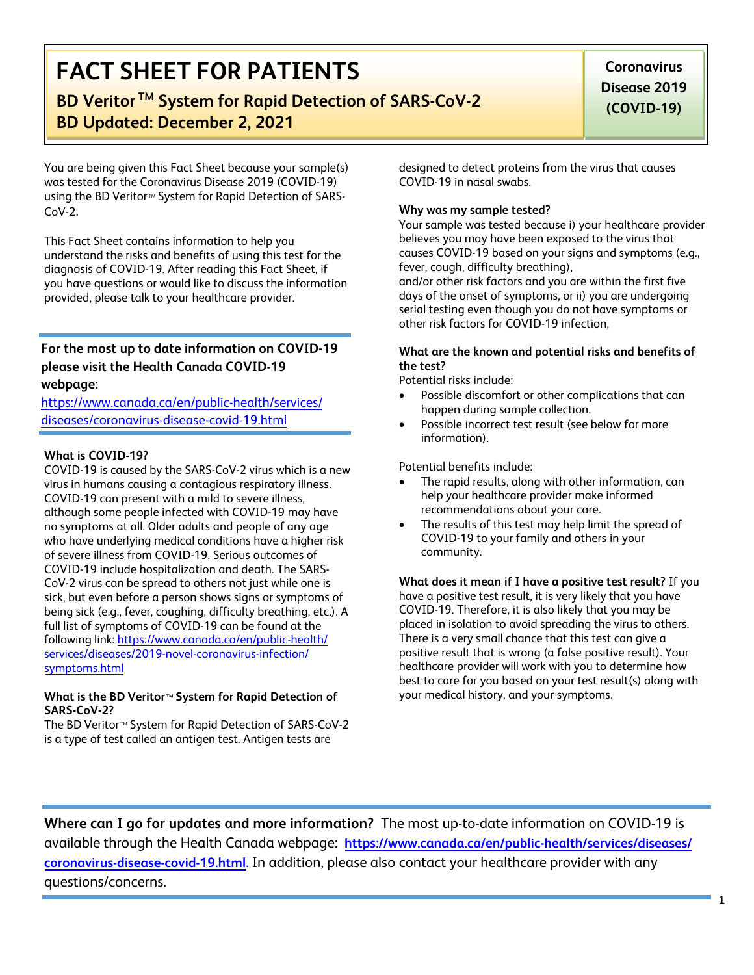# **FACT SHEET FOR PATIENTS**

# **BD Veritor TM System for Rapid Detection of SARS-CoV-2 BD Updated: December 2, 2021**

**Coronavirus Disease 2019 (COVID-19)**

You are being given this Fact Sheet because your sample(s) was tested for the Coronavirus Disease 2019 (COVID-19) using the BD Veritor<sup>™</sup> System for Rapid Detection of SARS-CoV-2.

This Fact Sheet contains information to help you understand the risks and benefits of using this test for the diagnosis of COVID-19. After reading this Fact Sheet, if you have questions or would like to discuss the information provided, please talk to your healthcare provider.

# **For the most up to date information on COVID-19 please visit the Health Canada COVID-19 webpage:**

https://www.canada.ca/en/public-health/services/ [diseases/coronavirus-disease-covid](https://www.cdc.gov/COVID19)-19.html

## **What is COVID-19?**

COVID-19 is caused by the SARS-CoV-2 virus which is a new virus in humans causing a contagious respiratory illness. COVID-19 can present with a mild to severe illness, although some people infected with COVID-19 may have no symptoms at all. Older adults and people of any age who have underlying medical conditions have a higher risk of severe illness from COVID-19. Serious outcomes of COVID-19 include hospitalization and death. The SARS-CoV-2 virus can be spread to others not just while one is sick, but even before a person shows signs or symptoms of being sick (e.g., fever, coughing, difficulty breathing, etc.). A full list of symptoms of COVID-19 can be found at the following link: https://www.canada.ca/en/public-health/ serv[ices/diseases/2019-novel-coronavirus-infection/](https://www.cdc.gov/coronavirus/2019-ncov/symptoms-testing/symptoms.html) [symptoms.html](https://www.cdc.gov/coronavirus/2019-ncov/symptoms-testing/symptoms.html)

#### **What is the BD Veritor<sup>™</sup> System for Rapid Detection of SARS-CoV-2?**

The BD Veritor<sup>™</sup> System for Rapid Detection of SARS-CoV-2 is a type of test called an antigen test. Antigen tests are

designed to detect proteins from the virus that causes COVID-19 in nasal swabs.

## **Why was my sample tested?**

Your sample was tested because i) your healthcare provider believes you may have been exposed to the virus that causes COVID-19 based on your signs and symptoms (e.g., fever, cough, difficulty breathing),

and/or other risk factors and you are within the first five days of the onset of symptoms, or ii) you are undergoing serial testing even though you do not have symptoms or other risk factors for COVID-19 infection,

### **What are the known and potential risks and benefits of the test?**

Potential risks include:

- Possible discomfort or other complications that can happen during sample collection.
- Possible incorrect test result (see below for more information).

Potential benefits include:

- The rapid results, along with other information, can help your healthcare provider make informed recommendations about your care.
- The results of this test may help limit the spread of COVID-19 to your family and others in your community.

**What does it mean if I have a positive test result?** If you have a positive test result, it is very likely that you have COVID-19. Therefore, it is also likely that you may be placed in isolation to avoid spreading the virus to others. There is a very small chance that this test can give a positive result that is wrong (a false positive result). Your healthcare provider will work with you to determine how best to care for you based on your test result(s) along with your medical history, and your symptoms.

**Where can I go for updates and more information?** The most up-to-date information on COVID-19 is available through the Health Canada webpage: **https://www.canada.ca/en/public-health/services/diseases/ coronavirus-disease-covid-19.html.** [In addition, please also contact your healthcare provider with any](https://www.cdc.gov/nCoV)  questions/concerns.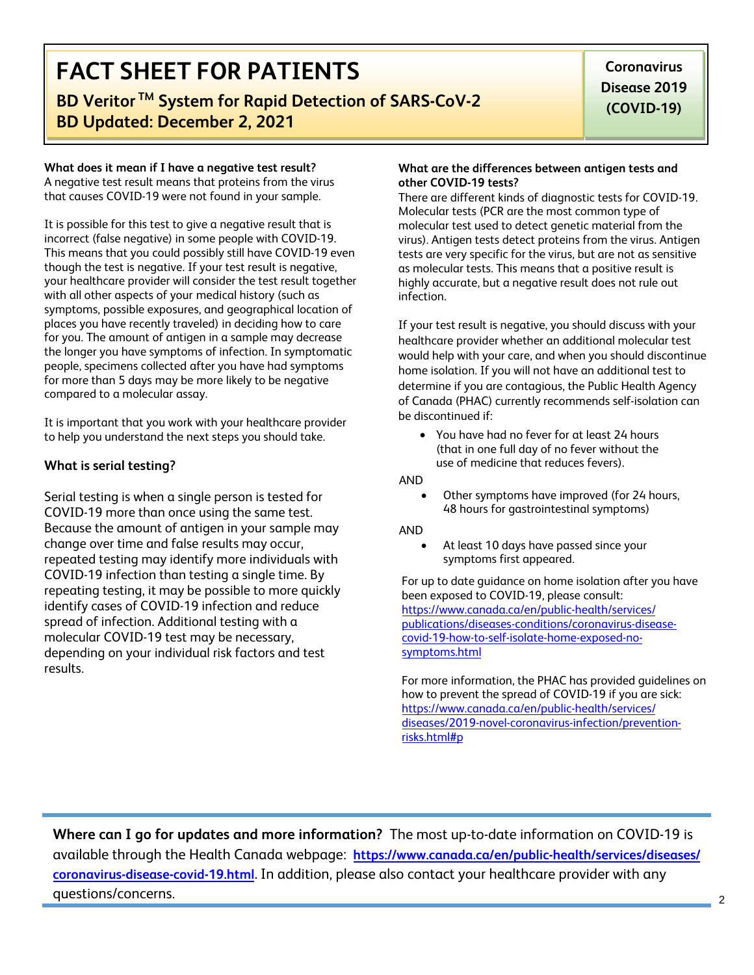# **FACT SHEET FOR PATIENTS**

# **BD Veritor TM System for Rapid Detection of SARS-CoV-2 BD Updated: December 2, 2021**

## **What does it mean if I have a negative test result?**

A negative test result means that proteins from the virus that causes COVID-19 were not found in your sample.

It is possible for this test to give a negative result that is incorrect (false negative) in some people with COVID-19. This means that you could possibly still have COVID-19 even though the test is negative. If your test result is negative, your healthcare provider will consider the test result together with all other aspects of your medical history (such as symptoms, possible exposures, and geographical location of places you have recently traveled) in deciding how to care for you. The amount of antigen in a sample may decrease the longer you have symptoms of infection. In symptomatic people, specimens collected after you have had symptoms for more than 5 days may be more likely to be negative compared to a molecular assay.

It is important that you work with your healthcare provider to help you understand the next steps you should take.

## **What is serial testing?**

Serial testing is when a single person is tested for COVID-19 more than once using the same test. Because the amount of antigen in your sample may change over time and false results may occur, repeated testing may identify more individuals with COVID-19 infection than testing a single time. By repeating testing, it may be possible to more quickly identify cases of COVID-19 infection and reduce spread of infection. Additional testing with a molecular COVID-19 test may be necessary, depending on your individual risk factors and test results.

#### **What are the differences between antigen tests and other COVID-19 tests?**

There are different kinds of diagnostic tests for COVID-19. Molecular tests (PCR are the most common type of molecular test used to detect genetic material from the virus). Antigen tests detect proteins from the virus. Antigen tests are very specific for the virus, but are not as sensitive as molecular tests. This means that a positive result is highly accurate, but a negative result does not rule out infection.

If your test result is negative, you should discuss with your healthcare provider whether an additional molecular test would help with your care, and when you should discontinue home isolation. If you will not have an additional test to determine if you are contagious, the Public Health Agency of Canada (PHAC) currently recommends self-isolation can be discontinued if:

• You have had no fever for at least 24 hours (that in one full day of no fever without the use of medicine that reduces fevers).

#### AND

• Other symptoms have improved (for 24 hours, 48 hours for gastrointestinal symptoms)

#### AND

• At least 10 days have passed since your symptoms first appeared.

For up to date guidance on home isolation after you have been exposed to COVID-19, please consult: https://www.canada.ca/en/public-health/services/ publications/diseases-conditions/coronavirus-diseasecovid-19-how-to-self-isolate-home-exposed-nosymptoms.html

For [more information, the PHAC has provided guidelines on](https://www.cdc.gov/coronavirus/2019-ncov/if-you-are-sick/steps-when-sick.html) [how to prevent the spread of CO](https://www.cdc.gov/coronavirus/2019-ncov/if-you-are-sick/steps-when-sick.html)VID-19 if you are sick: https://www.canada.ca/en/public-health/services/ diseases/2019-novel-coronavirus-infection/preventionrisks.html#p

**Where can I go for updates and more information?** The most up-to-date information on COVID-19 is available through the Health Canada webpage: **https://www.canada.ca/en/public-health/services/diseases/ coronavirus-disease-covid-19.html.** In addition, please also contact your healthcare provider with any questions/concerns.